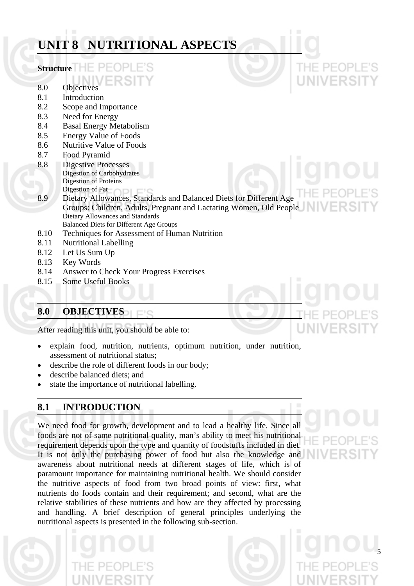# **UNIT 8 NUTRITIONAL ASPECTS Structure**  8.0 Objectives 8.1 Introduction 8.2 Scope and Importance 8.3 Need for Energy 8.4 Basal Energy Metabolism 8.5 Energy Value of Foods 8.6 Nutritive Value of Foods 8.7 Food Pyramid 8.8 Digestive Processes Digestion of Carbohydrates Digestion of Proteins Digestion of Fat 8.9 Dietary Allowances, Standards and Balanced Diets for Different Age Groups: Children, Adults, Pregnant and Lactating Women, Old People Dietary Allowances and Standards Balanced Diets for Different Age Groups 8.10 Techniques for Assessment of Human Nutrition 8.11 Nutritional Labelling 8.12 Let Us Sum Up 8.13 Key Words 8.14 Answer to Check Your Progress Exercises

8.15 Some Useful Books

## **8.0 OBJECTIVES**   $\Box$ c

After reading this unit, you should be able to:

- explain food, nutrition, nutrients, optimum nutrition, under nutrition, assessment of nutritional status;
- describe the role of different foods in our body;
- describe balanced diets; and
- state the importance of nutritional labelling.

# **8.1 INTRODUCTION**

We need food for growth, development and to lead a healthy life. Since all foods are not of same nutritional quality, man's ability to meet his nutritional requirement depends upon the type and quantity of foodstuffs included in diet. It is not only the purchasing power of food but also the knowledge and awareness about nutritional needs at different stages of life, which is of paramount importance for maintaining nutritional health. We should consider the nutritive aspects of food from two broad points of view: first, what nutrients do foods contain and their requirement; and second, what are the relative stabilities of these nutrients and how are they affected by processing and handling. A brief description of general principles underlying the nutritional aspects is presented in the following sub-section.

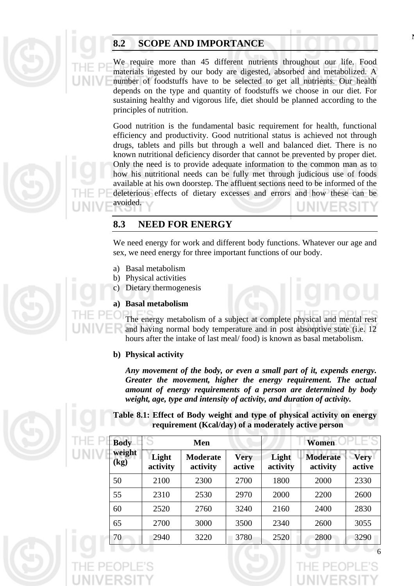

# **8.2 SCOPE AND IMPORTANCE**

We require more than 45 different nutrients throughout our life. Food materials ingested by our body are digested, absorbed and metabolized. A number of foodstuffs have to be selected to get all nutrients. Our health depends on the type and quantity of foodstuffs we choose in our diet. For sustaining healthy and vigorous life, diet should be planned according to the principles of nutrition.

Good nutrition is the fundamental basic requirement for health, functional efficiency and productivity. Good nutritional status is achieved not through drugs, tablets and pills but through a well and balanced diet. There is no known nutritional deficiency disorder that cannot be prevented by proper diet. Only the need is to provide adequate information to the common man as to how his nutritional needs can be fully met through judicious use of foods available at his own doorstep. The affluent sections need to be informed of the deleterious effects of dietary excesses and errors and how these can be avoided.

# **8.3 NEED FOR ENERGY**

We need energy for work and different body functions. Whatever our age and sex, we need energy for three important functions of our body.

- a) Basal metabolism
- b) Physical activities
- c) Dietary thermogenesis

## **a) Basal metabolism**

The energy metabolism of a subject at complete physical and mental rest and having normal body temperature and in post absorptive state (i.e. 12 hours after the intake of last meal/ food) is known as basal metabolism.

## **b) Physical activity**

*Any movement of the body, or even a small part of it, expends energy. Greater the movement, higher the energy requirement. The actual amount of energy requirements of a person are determined by body weight, age, type and intensity of activity, and duration of activity.* 

**Table 8.1: Effect of Body weight and type of physical activity on energy requirement (Kcal/day) of a moderately active person** 

| <b>Body</b>                          |                   | Men                         |                       | Women             |                             |                       |  |  |  |
|--------------------------------------|-------------------|-----------------------------|-----------------------|-------------------|-----------------------------|-----------------------|--|--|--|
| weight<br>$\left(\mathbf{kg}\right)$ | Light<br>activity | <b>Moderate</b><br>activity | <b>Very</b><br>active | Light<br>activity | <b>Moderate</b><br>activity | <b>Very</b><br>active |  |  |  |
| 50                                   | 2100              | 2300                        | 2700                  | 1800              | 2000                        | 2330                  |  |  |  |
| 55                                   | 2310              | 2530                        | 2970                  | 2000              | 2200                        | 2600                  |  |  |  |
| 60                                   | 2520              | 2760                        | 3240                  | 2160              | 2400                        | 2830                  |  |  |  |
| 65                                   | 2700              | 3000                        | 3500                  | 2340              | 2600                        | 3055                  |  |  |  |
| 70                                   | 2940              | 3220                        | 3780                  | 2520              | 2800                        | 3290                  |  |  |  |





6

**N**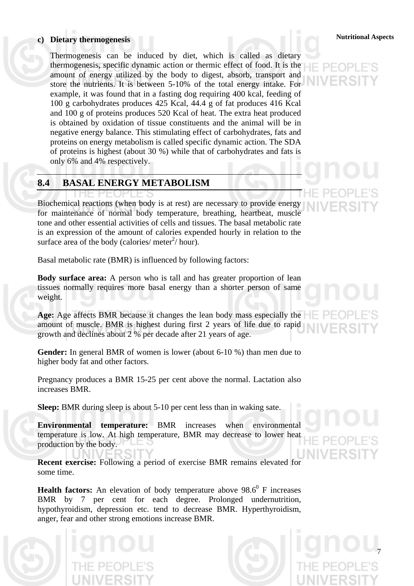# **Nutritional Aspects c) Dietary thermogenesis**

Thermogenesis can be induced by diet, which is called as dietary thermogenesis, specific dynamic action or thermic effect of food. It is the amount of energy utilized by the body to digest, absorb, transport and store the nutrients. It is between 5-10% of the total energy intake. For example, it was found that in a fasting dog requiring 400 kcal, feeding of 100 g carbohydrates produces 425 Kcal, 44.4 g of fat produces 416 Kcal and 100 g of proteins produces 520 Kcal of heat. The extra heat produced is obtained by oxidation of tissue constituents and the animal will be in negative energy balance. This stimulating effect of carbohydrates, fats and proteins on energy metabolism is called specific dynamic action. The SDA of proteins is highest (about 30 %) while that of carbohydrates and fats is only 6% and 4% respectively.

# **8.4 BASAL ENERGY METABOLISM**

Biochemical reactions (when body is at rest) are necessary to provide energy for maintenance of normal body temperature, breathing, heartbeat, muscle tone and other essential activities of cells and tissues. The basal metabolic rate is an expression of the amount of calories expended hourly in relation to the surface area of the body (calories/ meter $\frac{1}{2}$ / hour).

Basal metabolic rate (BMR) is influenced by following factors:

**Body surface area:** A person who is tall and has greater proportion of lean tissues normally requires more basal energy than a shorter person of same weight.

**Age:** Age affects BMR because it changes the lean body mass especially the amount of muscle. BMR is highest during first 2 years of life due to rapid growth and declines about 2 % per decade after 21 years of age.

**Gender:** In general BMR of women is lower (about 6-10 %) than men due to higher body fat and other factors.

Pregnancy produces a BMR 15-25 per cent above the normal. Lactation also increases BMR.

**Sleep:** BMR during sleep is about 5-10 per cent less than in waking sate.

**Environmental temperature:** BMR increases when environmental temperature is low. At high temperature, BMR may decrease to lower heat production by the body.

**Recent exercise:** Following a period of exercise BMR remains elevated for some time.

**Health factors:** An elevation of body temperature above  $98.6^{\circ}$  F increases BMR by 7 per cent for each degree. Prolonged undernutrition, hypothyroidism, depression etc. tend to decrease BMR. Hyperthyroidism, anger, fear and other strong emotions increase BMR.



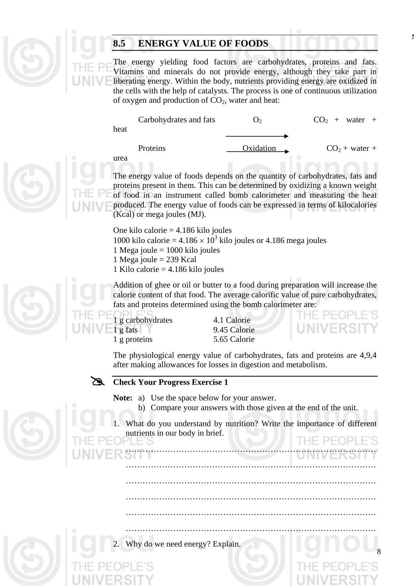# **8.5 ENERGY VALUE OF FOODS**

The energy yielding food factors are carbohydrates, proteins and fats. Vitamins and minerals do not provide energy, although they take part in liberating energy. Within the body, nutrients providing energy are oxidized in the cells with the help of catalysts. The process is one of continuous utilization of oxygen and production of  $CO<sub>2</sub>$ , water and heat:

| heat | Carbohydrates and fats | <u>( )っ</u> | $CO2 + water +$ |
|------|------------------------|-------------|-----------------|
| urea | Proteins               | Oxidation   | $CO2 + water +$ |

The energy value of foods depends on the quantity of carbohydrates, fats and proteins present in them. This can be determined by oxidizing a known weight of food in an instrument called bomb calorimeter and measuring the heat produced. The energy value of foods can be expressed in terms of kilocalories (Kcal) or mega joules (MJ).

One kilo calorie = 4.186 kilo joules 1000 kilo calorie =  $4.186 \times 10^3$  kilo joules or 4.186 mega joules 1 Mega joule  $= 1000$  kilo joules 1 Mega joule = 239 Kcal

1 Kilo calorie = 4.186 kilo joules

Addition of ghee or oil or butter to a food during preparation will increase the calorie content of that food. The average calorific value of pure carbohydrates, fats and proteins determined using the bomb calorimeter are:





**N**

8

The physiological energy value of carbohydrates, fats and proteins are 4,9,4 after making allowances for losses in digestion and metabolism.

# # **Check Your Progress Exercise 1**

**Note:** a) Use the space below for your answer.

b) Compare your answers with those given at the end of the unit.





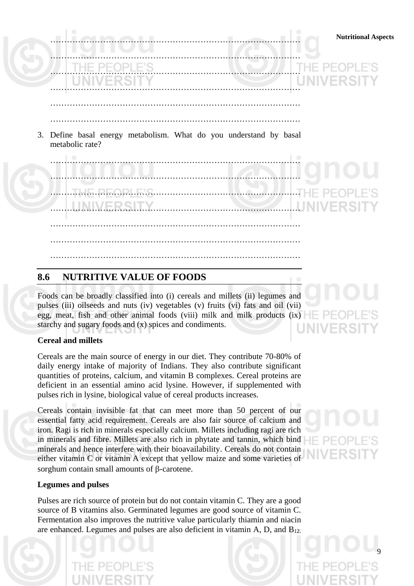

# **8.6 NUTRITIVE VALUE OF FOODS**

Foods can be broadly classified into (i) cereals and millets (ii) legumes and pulses (iii) oilseeds and nuts (iv) vegetables (v) fruits (vi) fats and oil (vii) egg, meat, fish and other animal foods (viii) milk and milk products (ix)  $\equiv \Box$ starchy and sugary foods and (x) spices and condiments.

## **Cereal and millets**

Cereals are the main source of energy in our diet. They contribute 70-80% of daily energy intake of majority of Indians. They also contribute significant quantities of proteins, calcium, and vitamin B complexes. Cereal proteins are deficient in an essential amino acid lysine. However, if supplemented with pulses rich in lysine, biological value of cereal products increases.

Cereals contain invisible fat that can meet more than 50 percent of our essential fatty acid requirement. Cereals are also fair source of calcium and iron. Ragi is rich in minerals especially calcium. Millets including ragi are rich in minerals and fibre. Millets are also rich in phytate and tannin, which bind minerals and hence interfere with their bioavailability. Cereals do not contain either vitamin C or vitamin A except that yellow maize and some varieties of sorghum contain small amounts of β-carotene.

## **Legumes and pulses**

Pulses are rich source of protein but do not contain vitamin C. They are a good source of B vitamins also. Germinated legumes are good source of vitamin C. Fermentation also improves the nutritive value particularly thiamin and niacin are enhanced. Legumes and pulses are also deficient in vitamin A, D, and  $B_{12}$ .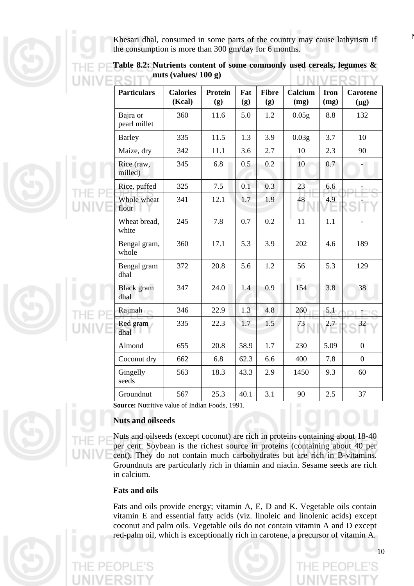Khesari dhal, consumed in some parts of the country may cause lathyrism if the consumption is more than 300 gm/day for 6 months.

| <b>Particulars</b>        | <b>Calories</b><br>(Kcal) | <b>Protein</b><br>(g) | Fat<br>(g) | <b>Fibre</b><br>(g) | Calcium<br>(mg)   | <b>Iron</b><br>(mg) | <b>Carotene</b><br>$(\mu g)$ |
|---------------------------|---------------------------|-----------------------|------------|---------------------|-------------------|---------------------|------------------------------|
| Bajra or<br>pearl millet  | 360                       | 11.6                  | 5.0        | 1.2                 | 0.05 <sub>g</sub> | 8.8                 | 132                          |
| <b>Barley</b>             | 335                       | 11.5                  | 1.3        | 3.9                 | 0.03 <sub>g</sub> | 3.7                 | 10                           |
| Maize, dry                | 342                       | 11.1                  | 3.6        | 2.7                 | 10                | 2.3                 | 90                           |
| Rice (raw,<br>milled)     | 345                       | 6.8                   | 0.5        | 0.2                 | 10                | 0.7                 |                              |
| Rice, puffed              | 325                       | 7.5                   | 0.1        | 0.3                 | 23                | 6.6                 |                              |
| Whole wheat<br>flour      | 341                       | 12.1                  | 1.7        | 1.9                 | 48                | 4.9                 |                              |
| Wheat bread,<br>white     | 245                       | 7.8                   | 0.7        | 0.2                 | 11                | 1.1                 |                              |
| Bengal gram,<br>whole     | 360                       | 17.1                  | 5.3        | 3.9                 | 202               | 4.6                 | 189                          |
| Bengal gram<br>dhal       | 372                       | 20.8                  | 5.6        | 1.2                 | 56                | 5.3                 | 129                          |
| <b>Black</b> gram<br>dhal | 347                       | 24.0                  | 1.4        | 0.9                 | 154               | 3.8                 | 38                           |
| Rajmah                    | 346                       | 22.9                  | 1.3        | 4.8                 | 260               | 5.1                 |                              |
| Red gram<br>dhal          | 335                       | 22.3                  | 1.7        | 1.5                 | 73                | 2.7                 |                              |
| Almond                    | 655                       | 20.8                  | 58.9       | 1.7                 | 230               | 5.09                | $\overline{0}$               |
| Coconut dry               | 662                       | 6.8                   | 62.3       | 6.6                 | 400               | 7.8                 | $\overline{0}$               |
| Gingelly<br>seeds         | 563                       | 18.3                  | 43.3       | 2.9                 | 1450              | 9.3                 | 60                           |
| Groundnut                 | 567                       | 25.3                  | 40.1       | 3.1                 | 90                | 2.5                 | 37                           |

**Table 8.2: Nutrients content of some commonly used cereals, legumes & nuts (values/ 100 g)**  $1.13.113.77$ 

**Source:** Nutritive value of Indian Foods, 1991.

## **Nuts and oilseeds**

Nuts and oilseeds (except coconut) are rich in proteins containing about 18-40 per cent. Soybean is the richest source in proteins (containing about 40 per cent). They do not contain much carbohydrates but are rich in B-vitamins. Groundnuts are particularly rich in thiamin and niacin. Sesame seeds are rich in calcium.

## **Fats and oils**

Fats and oils provide energy; vitamin A, E, D and K. Vegetable oils contain vitamin E and essential fatty acids (viz. linoleic and linolenic acids) except coconut and palm oils. Vegetable oils do not contain vitamin A and D except red-palm oil, which is exceptionally rich in carotene, a precursor of vitamin A.





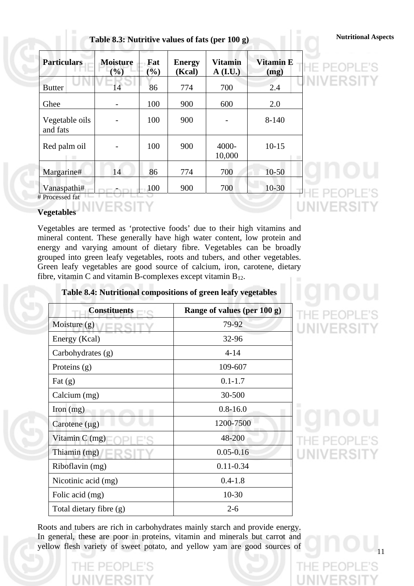| Table 8.3: Nutritive values of fats (per 100 g) |  |  | <b>Nutritional Aspects</b> |
|-------------------------------------------------|--|--|----------------------------|
|                                                 |  |  |                            |

| <b>Particulars</b>             | <b>Moisture</b><br>$\frac{1}{2}$ | Fat<br>$\left(\frac{6}{2}\right)$ | <b>Energy</b><br>(Kcal) | <b>Vitamin</b><br>$A$ (I.U.) | <b>Vitamin E</b><br>(mg) |  |
|--------------------------------|----------------------------------|-----------------------------------|-------------------------|------------------------------|--------------------------|--|
| <b>Butter</b>                  | 14                               | 86                                | 774                     | 700                          | 2.4                      |  |
| Ghee                           |                                  | 100                               | 900                     | 600                          | 2.0                      |  |
| Vegetable oils<br>and fats     |                                  | 100                               | 900                     |                              | $8 - 140$                |  |
| Red palm oil                   |                                  | 100                               | 900                     | 4000-<br>10,000              | $10 - 15$                |  |
| Margarine#                     | 14                               | 86                                | 774                     | 700                          | $10 - 50$                |  |
| Vanaspathi#<br># Processed fat |                                  | 100                               | 900                     | 700                          | $10-30$                  |  |

## **Vegetables**

Vegetables are termed as 'protective foods' due to their high vitamins and mineral content. These generally have high water content, low protein and energy and varying amount of dietary fibre. Vegetables can be broadly grouped into green leafy vegetables, roots and tubers, and other vegetables. Green leafy vegetables are good source of calcium, iron, carotene, dietary fibre, vitamin C and vitamin B-complexes except vitamin  $B_{12}$ .

VERSITY

## **Table 8.4: Nutritional compositions of green leafy vegetables**

| <b>Constituents</b>     | Range of values (per 100 g) |
|-------------------------|-----------------------------|
| Moisture $(g)$          | 79-92                       |
| Energy (Kcal)           | 32-96                       |
| Carbohydrates (g)       | $4 - 14$                    |
| Proteins $(g)$          | 109-607                     |
| Fat $(g)$               | $0.1 - 1.7$                 |
| Calcium (mg)            | 30-500                      |
| Iron $(mg)$             | $0.8 - 16.0$                |
| Carotene $(\mu g)$      | 1200-7500                   |
| Vitamin $C$ (mg)        | 48-200                      |
| Thiamin (mg)            | $0.05 - 0.16$               |
| Riboflavin (mg)         | $0.11 - 0.34$               |
| Nicotinic acid (mg)     | $0.4 - 1.8$                 |
| Folic acid (mg)         | $10 - 30$                   |
| Total dietary fibre (g) | $2 - 6$                     |

Roots and tubers are rich in carbohydrates mainly starch and provide energy. In general, these are poor in proteins, vitamin and minerals but carrot and yellow flesh variety of sweet potato, and yellow yam are good sources of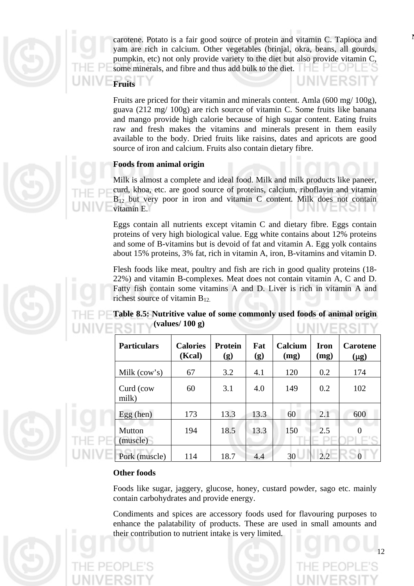

carotene. Potato is a fair good source of protein and vitamin C. Tapioca and yam are rich in calcium. Other vegetables (brinjal, okra, beans, all gourds, pumpkin, etc) not only provide variety to the diet but also provide vitamin C, some minerals, and fibre and thus add bulk to the diet.  $\Box$ 

**Fruits** 

**LINIVERS** 

Fruits are priced for their vitamin and minerals content. Amla (600 mg/ 100g), guava (212 mg/ 100g) are rich source of vitamin C. Some fruits like banana and mango provide high calorie because of high sugar content. Eating fruits raw and fresh makes the vitamins and minerals present in them easily available to the body. Dried fruits like raisins, dates and apricots are good source of iron and calcium. Fruits also contain dietary fibre.

## **Foods from animal origin**

Milk is almost a complete and ideal food. Milk and milk products like paneer, curd, khoa, etc. are good source of proteins, calcium, riboflavin and vitamin  $B_{12}$  but very poor in iron and vitamin C content. Milk does not contain vitamin E.

Eggs contain all nutrients except vitamin C and dietary fibre. Eggs contain proteins of very high biological value. Egg white contains about 12% proteins and some of B-vitamins but is devoid of fat and vitamin A. Egg yolk contains about 15% proteins, 3% fat, rich in vitamin A, iron, B-vitamins and vitamin D.

Flesh foods like meat, poultry and fish are rich in good quality proteins (18- 22%) and vitamin B-complexes. Meat does not contain vitamin A, C and D. Fatty fish contain some vitamins A and D. Liver is rich in vitamin A and richest source of vitamin B12.

**Table 8.5: Nutritive value of some commonly used foods of animal origin (values/ 100 g) I INIVED SITV** 

| <b>Particulars</b> | <b>Calories</b><br>(Kcal) | <b>Protein</b><br>(g) | Fat<br>(g) | Calcium<br>(mg) | <b>Iron</b><br>(mg) | <b>Carotene</b><br>$(\mu g)$ |
|--------------------|---------------------------|-----------------------|------------|-----------------|---------------------|------------------------------|
| Milk $(cow's)$     | 67                        | 3.2                   | 4.1        | 120             | 0.2                 | 174                          |
| Curd (cow<br>milk) | 60                        | 3.1                   | 4.0        | 149             | 0.2                 | 102                          |
| Egg (hen)          | 173                       | 13.3                  | 13.3       | 60              | 2.1                 | 600                          |
| Mutton<br>(muscle) | 194                       | 18.5                  | 13.3       | 150             | 2.5                 |                              |
| Pork (muscle)      | 114                       | 18.7                  | 4.4        | 30              | 2.2                 |                              |

## **Other foods**

Foods like sugar, jaggery, glucose, honey, custard powder, sago etc. mainly contain carbohydrates and provide energy.

Condiments and spices are accessory foods used for flavouring purposes to enhance the palatability of products. These are used in small amounts and their contribution to nutrient intake is very limited.

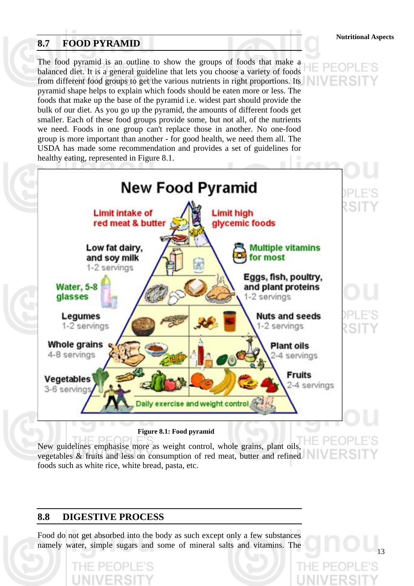# **8.7 FOOD PYRAMID**

The food pyramid is an outline to show the groups of foods that make a balanced diet. It is a general guideline that lets you choose a variety of foods from different food groups to get the various nutrients in right proportions. Its pyramid shape helps to explain which foods should be eaten more or less. The foods that make up the base of the pyramid i.e. widest part should provide the bulk of our diet. As you go up the pyramid, the amounts of different foods get smaller. Each of these food groups provide some, but not all, of the nutrients we need. Foods in one group can't replace those in another. No one-food group is more important than another - for good health, we need them all. The USDA has made some recommendation and provides a set of guidelines for healthy eating, represented in Figure 8.1.



**Nutritional Aspects**

13



New guidelines emphasise more as weight control, whole grains, plant oils, vegetables & fruits and less on consumption of red meat, butter and refined foods such as white rice, white bread, pasta, etc.

# **8.8 DIGESTIVE PROCESS**

Food do not get absorbed into the body as such except only a few substances namely water, simple sugars and some of mineral salts and vitamins. The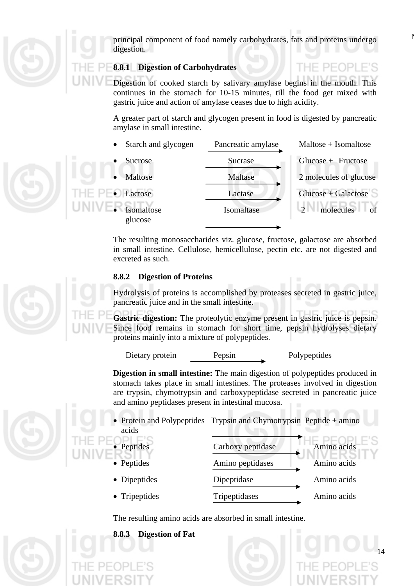

principal component of food namely carbohydrates, fats and proteins undergo digestion.

## **8.8.1 Digestion of Carbohydrates**

Digestion of cooked starch by salivary amylase begins in the mouth. This continues in the stomach for 10-15 minutes, till the food get mixed with gastric juice and action of amylase ceases due to high acidity.

A greater part of starch and glycogen present in food is digested by pancreatic amylase in small intestine.



The resulting monosaccharides viz. glucose, fructose, galactose are absorbed in small intestine. Cellulose, hemicellulose, pectin etc. are not digested and excreted as such.

## **8.8.2 Digestion of Proteins**

Hydrolysis of proteins is accomplished by proteases secreted in gastric juice, pancreatic juice and in the small intestine.

**Gastric digestion:** The proteolytic enzyme present in gastric juice is pepsin. Since food remains in stomach for short time, pepsin hydrolyses dietary proteins mainly into a mixture of polypeptides.

Dietary protein Pepsin Polypeptides

IF PFOPI

14

**Digestion in small intestine:** The main digestion of polypeptides produced in stomach takes place in small intestines. The proteases involved in digestion are trypsin, chymotrypsin and carboxypeptidase secreted in pancreatic juice and amino peptidases present in intestinal mucosa.

- Protein and Polypeptides Trypsin and Chymotrypsin Peptide + amino acids
- 
- 
- 
- 
- Peptides Carboxy peptidase Amino acids • Peptides Amino peptidases Amino acids • Dipeptides Dipeptidase Amino acids • Tripeptides Tripeptidases Amino acids

The resulting amino acids are absorbed in small intestine.

**8.8.3 Digestion of Fat**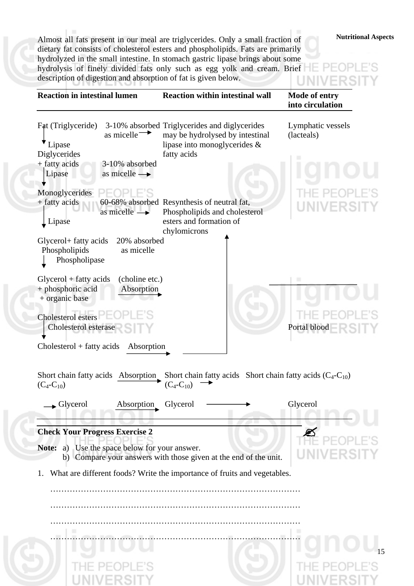**Nutritional Aspects** Almost all fats present in our meal are triglycerides. Only a small fraction of dietary fat consists of cholesterol esters and phospholipids. Fats are primarily hydrolyzed in the small intestine. In stomach gastric lipase brings about some hydrolysis of finely divided fats only such as egg yolk and cream. Brief description of digestion and absorption of fat is given below. **TENTIVE** 

'S

| 3-10% absorbed Triglycerides and diglycerides<br>Lymphatic vessels<br>as micelle $\rightarrow$<br>may be hydrolysed by intestinal<br>(lacteals)<br>lipase into monoglycerides &<br>Lipase<br>fatty acids<br>3-10% absorbed<br>Lipase<br>as micelle $\rightarrow$<br>Monoglycerides<br>+ fatty acids<br>60-68% absorbed Resynthesis of neutral fat,<br>as micelle $\rightarrow$<br>Phospholipids and cholesterol<br>esters and formation of<br>Lipase<br>chylomicrons<br>20% absorbed<br>Glycerol+ fatty acids<br>as micelle<br>Phospholipids<br>Phospholipase<br>$Glycerol + fatty acids$<br>(choline etc.)<br>+ phosphoric acid<br>Absorption<br>+ organic base<br>Cholesterol esters<br>Cholesterol esterase<br>Portal blood<br>$Cholesterol + fatty acids$<br>Absorption<br>Short chain fatty acids Absorption<br>Short chain fatty acids Short chain fatty acids $(C_4-C_{10})$<br>$(C_4-C_{10})$<br>$(C_4$ - $C_{10})$<br>$\blacktriangleright$ Glycerol<br>Absorption<br>Glycerol<br>Glycerol<br><b>Check Your Progress Exercise 2</b><br>a) Use the space below for your answer.<br>Note:<br>b) Compare your answers with those given at the end of the unit.<br>What are different foods? Write the importance of fruits and vegetables. | <b>Reaction in intestinal lumen</b>                 | <b>Reaction within intestinal wall</b> | Mode of entry<br>into circulation |
|--------------------------------------------------------------------------------------------------------------------------------------------------------------------------------------------------------------------------------------------------------------------------------------------------------------------------------------------------------------------------------------------------------------------------------------------------------------------------------------------------------------------------------------------------------------------------------------------------------------------------------------------------------------------------------------------------------------------------------------------------------------------------------------------------------------------------------------------------------------------------------------------------------------------------------------------------------------------------------------------------------------------------------------------------------------------------------------------------------------------------------------------------------------------------------------------------------------------------------------------------|-----------------------------------------------------|----------------------------------------|-----------------------------------|
|                                                                                                                                                                                                                                                                                                                                                                                                                                                                                                                                                                                                                                                                                                                                                                                                                                                                                                                                                                                                                                                                                                                                                                                                                                                  | Fat (Triglyceride)<br>Diglycerides<br>+ fatty acids |                                        |                                   |
|                                                                                                                                                                                                                                                                                                                                                                                                                                                                                                                                                                                                                                                                                                                                                                                                                                                                                                                                                                                                                                                                                                                                                                                                                                                  |                                                     |                                        |                                   |
|                                                                                                                                                                                                                                                                                                                                                                                                                                                                                                                                                                                                                                                                                                                                                                                                                                                                                                                                                                                                                                                                                                                                                                                                                                                  |                                                     |                                        |                                   |
|                                                                                                                                                                                                                                                                                                                                                                                                                                                                                                                                                                                                                                                                                                                                                                                                                                                                                                                                                                                                                                                                                                                                                                                                                                                  |                                                     |                                        |                                   |
|                                                                                                                                                                                                                                                                                                                                                                                                                                                                                                                                                                                                                                                                                                                                                                                                                                                                                                                                                                                                                                                                                                                                                                                                                                                  |                                                     |                                        |                                   |
|                                                                                                                                                                                                                                                                                                                                                                                                                                                                                                                                                                                                                                                                                                                                                                                                                                                                                                                                                                                                                                                                                                                                                                                                                                                  |                                                     |                                        |                                   |
|                                                                                                                                                                                                                                                                                                                                                                                                                                                                                                                                                                                                                                                                                                                                                                                                                                                                                                                                                                                                                                                                                                                                                                                                                                                  |                                                     |                                        |                                   |
|                                                                                                                                                                                                                                                                                                                                                                                                                                                                                                                                                                                                                                                                                                                                                                                                                                                                                                                                                                                                                                                                                                                                                                                                                                                  |                                                     |                                        |                                   |
|                                                                                                                                                                                                                                                                                                                                                                                                                                                                                                                                                                                                                                                                                                                                                                                                                                                                                                                                                                                                                                                                                                                                                                                                                                                  |                                                     |                                        |                                   |
|                                                                                                                                                                                                                                                                                                                                                                                                                                                                                                                                                                                                                                                                                                                                                                                                                                                                                                                                                                                                                                                                                                                                                                                                                                                  |                                                     |                                        |                                   |
|                                                                                                                                                                                                                                                                                                                                                                                                                                                                                                                                                                                                                                                                                                                                                                                                                                                                                                                                                                                                                                                                                                                                                                                                                                                  |                                                     |                                        |                                   |
|                                                                                                                                                                                                                                                                                                                                                                                                                                                                                                                                                                                                                                                                                                                                                                                                                                                                                                                                                                                                                                                                                                                                                                                                                                                  |                                                     |                                        |                                   |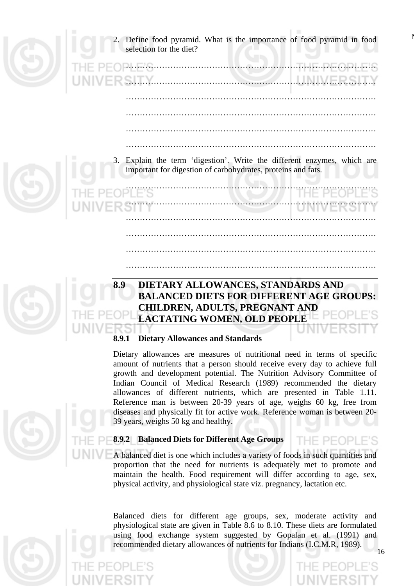- Define food pyramid. What is the importance of food pyramid in food selection for the diet? ……………………………………………………………………………… …………………………………………………… ……………………………………………………………………………… ……………………………………………………………………………… ……………………………………………………………………………… ……………………………………………………………………………… 3. Explain the term 'digestion'. Write the different enzymes, which are important for digestion of carbohydrates, proteins and fats. ……………………………………………………………………………… ……………………………………………………………………………… ……………………………………………………………………………… ……………………………………………………………………………… ………………………………………………………………………………
- 

# **8.9 DIETARY ALLOWANCES, STANDARDS AND BALANCED DIETS FOR DIFFERENT AGE GROUPS: CHILDREN, ADULTS, PREGNANT AND LACTATING WOMEN, OLD PEOPLE**

………………………………………………………………………………

# **8.9.1 Dietary Allowances and Standards**

Dietary allowances are measures of nutritional need in terms of specific amount of nutrients that a person should receive every day to achieve full growth and development potential. The Nutrition Advisory Committee of Indian Council of Medical Research (1989) recommended the dietary allowances of different nutrients, which are presented in Table 1.11. Reference man is between 20-39 years of age, weighs 60 kg, free from diseases and physically fit for active work. Reference woman is between 20- 39 years, weighs 50 kg and healthy.

# **8.9.2 Balanced Diets for Different Age Groups**

A balanced diet is one which includes a variety of foods in such quantities and proportion that the need for nutrients is adequately met to promote and maintain the health. Food requirement will differ according to age, sex, physical activity, and physiological state viz. pregnancy, lactation etc.

16 Balanced diets for different age groups, sex, moderate activity and physiological state are given in Table 8.6 to 8.10. These diets are formulated using food exchange system suggested by Gopalan et al. (1991) and recommended dietary allowances of nutrients for Indians (I.C.M.R, 1989).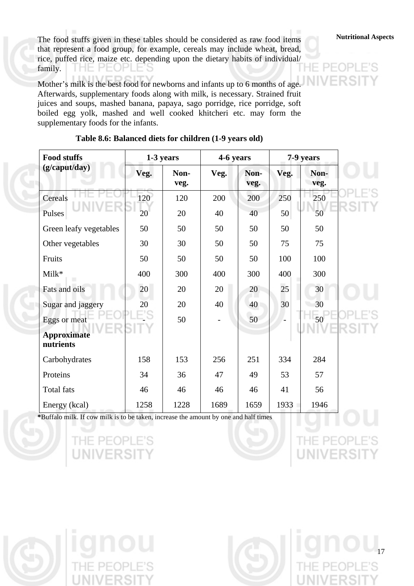**Nutritional Aspects** The food stuffs given in these tables should be considered as raw food items that represent a food group, for example, cereals may include wheat, bread, rice, puffed rice, maize etc. depending upon the dietary habits of individual/ family. THE PEOPLE'S Ιł

Mother's milk is the best food for newborns and infants up to 6 months of age. Afterwards, supplementary foods along with milk, is necessary. Strained fruit juices and soups, mashed banana, papaya, sago porridge, rice porridge, soft boiled egg yolk, mashed and well cooked khitcheri etc. may form the supplementary foods for the infants.

| <b>Food stuffs</b>                              |      | 1-3 years    | 4-6 years |              |      | 7-9 years    |
|-------------------------------------------------|------|--------------|-----------|--------------|------|--------------|
| (g/caput/day)                                   | Veg. | Non-<br>veg. | Veg.      | Non-<br>veg. | Veg. | Non-<br>veg. |
| Cereals                                         | 120  | 120          | 200       | 200          | 250  | 250          |
| Pulses                                          | 20   | 20           | 40        | 40           | 50   | 50           |
| Green leafy vegetables                          | 50   | 50           | 50        | 50           | 50   | 50           |
| Other vegetables                                | 30   | 30           | 50        | 50           | 75   | 75           |
| Fruits                                          | 50   | 50           | 50        | 50           | 100  | 100          |
| Milk*                                           | 400  | 300          | 400       | 300          | 400  | 300          |
| Fats and oils                                   | 20   | 20           | 20        | 20           | 25   | 30           |
| Sugar and jaggery                               | 20   | 20           | 40        | 40           | 30   | 30           |
| Eggs or meat<br><b>Approximate</b><br>nutrients |      | 50           |           | 50           |      | 50           |
| Carbohydrates                                   | 158  | 153          | 256       | 251          | 334  | 284          |
| Proteins                                        | 34   | 36           | 47        | 49           | 53   | 57           |
| <b>Total fats</b>                               | 46   | 46           | 46        | 46           | 41   | 56           |
| Energy (kcal)                                   | 1258 | 1228         | 1689      | 1659         | 1933 | 1946         |

## **Table 8.6: Balanced diets for children (1-9 years old)**

**\***Buffalo milk. If cow milk is to be taken, increase the amount by one and half times

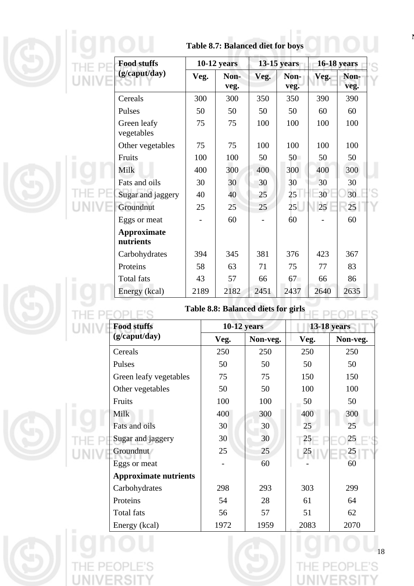|  | <b>Food stuffs</b>                            |      | <b>10-12 years</b> |                                             | <b>13-15 years</b> |                    | <b>16-18 years</b> |
|--|-----------------------------------------------|------|--------------------|---------------------------------------------|--------------------|--------------------|--------------------|
|  | (g/caput/day)                                 | Veg. | Non-<br>veg.       | Veg.                                        | Non-<br>veg.       | Veg.               | Non-<br>veg.       |
|  | Cereals                                       | 300  | 300                | 350                                         | 350                | 390                | 390                |
|  | Pulses                                        | 50   | 50                 | 50                                          | 50                 | 60                 | 60                 |
|  | Green leafy<br>vegetables                     | 75   | 75                 | 100                                         | 100                | 100                | 100                |
|  | Other vegetables                              | 75   | 75                 | 100                                         | 100                | 100                | 100                |
|  | Fruits                                        | 100  | 100                | 50                                          | 50                 | 50                 | 50                 |
|  | Milk                                          | 400  | 300                | 400                                         | 300                | 400                | 300                |
|  | Fats and oils                                 | 30   | 30                 | 30                                          | 30                 | 30                 | 30                 |
|  | Sugar and jaggery                             | 40   | 40                 | 25                                          | 25                 | 30                 | 30                 |
|  | Groundnut                                     | 25   | 25                 | 25                                          | 25                 | 25                 | 25                 |
|  | Eggs or meat                                  |      | 60                 |                                             | 60                 |                    | 60                 |
|  | <b>Approximate</b><br>nutrients               |      |                    |                                             |                    |                    |                    |
|  | Carbohydrates                                 | 394  | 345                | 381                                         | 376                | 423                | 367                |
|  | Proteins                                      | 58   | 63                 | 71                                          | 75                 | 77                 | 83                 |
|  |                                               |      |                    |                                             |                    |                    |                    |
|  | <b>Total fats</b>                             | 43   | 57                 | 66                                          | 67                 | 66                 | 86                 |
|  | Energy (kcal)                                 | 2189 | 2182               | 2451<br>Table 8.8: Balanced diets for girls | 2437               | 2640               | 2635               |
|  | <b>Food stuffs</b>                            |      | $10-12$ years      |                                             |                    | <b>13-18 years</b> |                    |
|  | (g/caput/day)                                 |      | Veg.               | Non-veg.                                    |                    | Veg.               | Non-veg.           |
|  | Cereals                                       |      | 250                | 250                                         |                    | 250                | 250                |
|  | Pulses                                        |      | 50                 | 50                                          |                    | 50                 | 50                 |
|  | Green leafy vegetables                        |      | 75                 | 75                                          |                    | 150                | 150                |
|  | Other vegetables                              |      | 50                 | 50                                          |                    | 100                | 100                |
|  | Fruits                                        |      | 100                | 100                                         |                    | 50                 | 50                 |
|  | Milk                                          |      | 400                | 300                                         |                    | 400                | 300                |
|  | Fats and oils                                 |      | 30                 | 30                                          |                    | 25                 | 25                 |
|  | Sugar and jaggery                             |      | 30                 | 30<br>25                                    |                    | 25                 | 25                 |
|  | Groundnut                                     |      | 25                 | 60                                          |                    | 25                 | $^{25}$<br>60      |
|  | Eggs or meat                                  |      |                    |                                             |                    |                    |                    |
|  | <b>Approximate nutrients</b><br>Carbohydrates |      | 298                | 293                                         |                    | 303                | 299                |
|  | Proteins                                      |      | 54                 | 28                                          | 61                 |                    | 64                 |
|  | <b>Total fats</b>                             |      | 56                 | 57                                          | 51                 |                    | 62                 |

**N**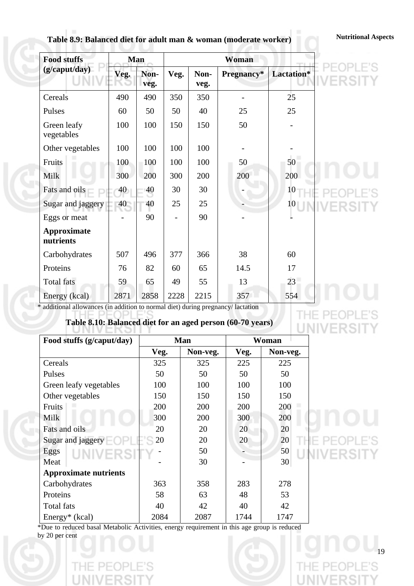# Table 8.9: Balanced diet for adult man & woman (moderate worker) **Nutritional Aspects**

E PEOPLE'S<br>I**IVERSITY** 

<sup>19</sup>

E'S

PE(

**IIVERSIT** 

| <b>Food stuffs</b>        |      | Man          |      |              | Woman      |            |  |
|---------------------------|------|--------------|------|--------------|------------|------------|--|
| (g/caput/day)             | Veg. | Non-<br>veg. | Veg. | Non-<br>veg. | Pregnancy* | Lactation* |  |
| Cereals                   | 490  | 490          | 350  | 350          |            | 25         |  |
| Pulses                    | 60   | 50           | 50   | 40           | 25         | 25         |  |
| Green leafy<br>vegetables | 100  | 100          | 150  | 150          | 50         | -          |  |
| Other vegetables          | 100  | 100          | 100  | 100          |            |            |  |
| Fruits                    | 100  | 100          | 100  | 100          | 50         | 50         |  |
| Milk                      | 300  | 200          | 300  | 200          | 200        | 200        |  |
| Fats and oils             | 40   | 40           | 30   | 30           |            | 10         |  |
| Sugar and jaggery         | 40   | 40           | 25   | 25           |            | 10         |  |
| Eggs or meat              |      | 90           |      | 90           |            |            |  |
| Approximate<br>nutrients  |      |              |      |              |            |            |  |
| Carbohydrates             | 507  | 496          | 377  | 366          | 38         | 60         |  |
| Proteins                  | 76   | 82           | 60   | 65           | 14.5       | 17         |  |
| Total fats                | 59   | 65           | 49   | 55           | 13         | 23         |  |
| Energy (kcal)             | 2871 | 2858         | 2228 | 2215         | 357        | 554        |  |

\* additional allowances (in addition to normal diet) during pregnancy/ lactation

# **Table 8.10: Balanced diet for an aged person (60-70 years)**

| Food stuffs (g/caput/day)    |      | Man      |      | Woman    |
|------------------------------|------|----------|------|----------|
|                              | Veg. | Non-veg. | Veg. | Non-veg. |
| Cereals                      | 325  | 325      | 225  | 225      |
| Pulses                       | 50   | 50       | 50   | 50       |
| Green leafy vegetables       | 100  | 100      | 100  | 100      |
| Other vegetables             | 150  | 150      | 150  | 150      |
| Fruits                       | 200  | 200      | 200  | 200      |
| <b>Milk</b>                  | 300  | 200      | 300  | 200      |
| Fats and oils                | 20   | 20       | 20   | 20       |
| Sugar and jaggery $\Box$     | 20   | 20       | 20   | 20       |
| Eggs<br>UNIVERSITY           |      | 50       |      | 50       |
| Meat                         |      | 30       |      | 30       |
| <b>Approximate nutrients</b> |      |          |      |          |
| Carbohydrates                | 363  | 358      | 283  | 278      |
| Proteins                     | 58   | 63       | 48   | 53       |
| Total fats                   | 40   | 42       | 40   | 42       |
| Energy <sup>*</sup> (kcal)   | 2084 | 2087     | 1744 | 1747     |

\*Due to reduced basal Metabolic Activities, energy requirement in this age group is reduced by 20 per cent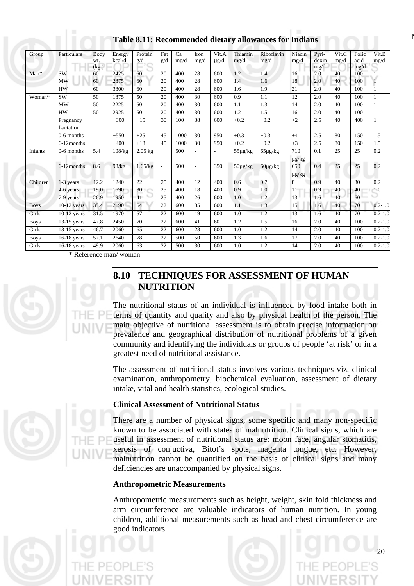| Group       | Particulars   | Body<br>wt. | Energy<br>kcal/d | Protein<br>g/d | Fat<br>g/d               | Ca<br>mg/d | Iron<br>mg/d             | Vit.A<br>$\mu$ g/d | Thiamin<br>mg/d | Riboflavin<br>mg/d | Niacin<br>mg/d | Pyri-<br>doxin | Vit.C<br>mg/d | Folic<br>acid | Vit.B<br>mg/d |
|-------------|---------------|-------------|------------------|----------------|--------------------------|------------|--------------------------|--------------------|-----------------|--------------------|----------------|----------------|---------------|---------------|---------------|
| Man*        | <b>SW</b>     | (kg.)<br>60 | 2425             | 60             | 20                       | 400        | 28                       | 600                | 1.2             | 1.4                | 16             | mg/d<br>2.0    | 40            | mg/d<br>100   |               |
|             | MW            | 60          | 2875             | 60             | 20                       | 400        | 28                       | 600                | 1.4             | 1.6                | 18             | 2.0            | 40            | 100           |               |
|             | <b>HW</b>     | 60          | 3800             | 60             | 20                       | 400        | 28                       | 600                | 1.6             | 1.9                | 21             | 2.0            | 40            | 100           |               |
| Woman*      | <b>SW</b>     | 50          | 1875             | 50             | 20                       | 400        | 30                       | 600                | 0.9             | 1.1                | 12             | 2.0            | 40            | 100           | $\mathbf{1}$  |
|             | <b>MW</b>     | 50          | 2225             | 50             | 20                       | 400        | 30                       | 600                | 1.1             | 1.3                | 14             | 2.0            | 40            | 100           | 1             |
|             | <b>HW</b>     | 50          | 2925             | 50             | 20                       | 400        | 30                       | 600                | 1.2             | 1.5                | 16             | 2.0            | 40            | 100           | 1             |
|             | Pregnancy     |             | $+300$           | $+15$          | 30                       | 100        | 38                       | 600                | $+0.2$          | $+0.2$             | $+2$           | 2.5            | 40            | 400           | 1             |
|             | Lactation     |             |                  |                |                          |            |                          |                    |                 |                    |                |                |               |               |               |
|             | 0-6 months    |             | $+550$           | $+25$          | 45                       | 1000       | 30                       | 950                | $+0.3$          | $+0.3$             | $+4$           | 2.5            | 80            | 150           | 1.5           |
|             | 6-12 months   |             | $+400$           | $+18$          | 45                       | 1000       | 30                       | 950                | $+0.2$          | $+0.2$             | $+3$           | 2.5            | 80            | 150           | 1.5           |
| Infants     | 0-6 months    | 5.4         | 108/kg           | $2.05$ kg      |                          | 500        |                          |                    | $55\mu g/kg$    | $65\mu g/kg$       | 710            | 0.1            | 25            | 25            | 0.2           |
|             |               |             |                  |                |                          |            |                          |                    |                 |                    | $\mu g/kg$     |                |               |               |               |
|             | 6-12 months   | 8.6         | 98/kg            | 1.65/kg        | $\overline{\phantom{a}}$ | 500        | $\overline{\phantom{a}}$ | 350                | $50\mu g/kg$    | $60\mu$ g/kg       | 650            | 0.4            | 25            | 25            | 0.2           |
|             |               |             |                  |                |                          |            |                          |                    |                 |                    | $\mu$ g/kg     |                |               |               |               |
| Children    | $1-3$ years   | 12.2        | 1240             | 22             | 25                       | 400        | 12                       | 400                | 0.6             | 0.7                | 8              | 0.9            | 40            | 30            | 0.2           |
|             | 4-6 years     | 19.0        | 1690             | 30             | 25                       | 400        | 18                       | 400                | 0.9             | 1.0                | 11             | 0.9            | 40            | 40            | 1.0           |
|             | 7-9 years     | 26.9        | 1950             | 41             | 25                       | 400        | 26                       | 600                | 1.0             | 1.2                | 13             | 1.6            | 40            | 60            |               |
| <b>Boys</b> | $10-12$ years | 35.4        | 2190             | 54             | 22                       | 600        | 35                       | 600                | 1.1             | 1.3                | 15             | 1.6            | 40            | 70            | $0.2 - 1.0$   |
| Girls       | $10-12$ years | 31.5        | 1970             | 57             | 22                       | 600        | 19                       | 600                | 1.0             | 1.2                | 13             | 1.6            | 40            | 70            | $0.2 - 1.0$   |
| <b>Boys</b> | $13-15$ years | 47.8        | 2450             | 70             | 22                       | 600        | 41                       | 60                 | 1.2             | 1.5                | 16             | 2.0            | 40            | 100           | $0.2 - 1.0$   |
| Girls       | $13-15$ years | 46.7        | 2060             | 65             | 22                       | 600        | 28                       | 600                | 1.0             | 1.2                | 14             | 2.0            | 40            | 100           | $0.2 - 1.0$   |
| <b>Boys</b> | $16-18$ years | 57.1        | 2640             | 78             | 22                       | 500        | 50                       | 600                | 1.3             | 1.6                | 17             | 2.0            | 40            | 100           | $0.2 - 1.0$   |
| Girls       | $16-18$ years | 49.9        | 2060             | 63             | 22                       | 500        | 30                       | 600                | 1.0             | 1.2                | 14             | 2.0            | 40            | 100           | $0.2 - 1.0$   |

**<sup>N</sup> Table 8.11: Recommended dietary allowances for Indians** 

\* Reference man/ woman



# **8.10 TECHNIQUES FOR ASSESSMENT OF HUMAN NUTRITION**

The nutritional status of an individual is influenced by food intake both in terms of quantity and quality and also by physical health of the person. The main objective of nutritional assessment is to obtain precise information on prevalence and geographical distribution of nutritional problems of a given community and identifying the individuals or groups of people 'at risk' or in a greatest need of nutritional assistance.

The assessment of nutritional status involves various techniques viz. clinical examination, anthropometry, biochemical evaluation, assessment of dietary intake, vital and health statistics, ecological studies.

## **Clinical Assessment of Nutritional Status**

There are a number of physical signs, some specific and many non-specific known to be associated with states of malnutrition. Clinical signs, which are useful in assessment of nutritional status are: moon face, angular stomatitis, xerosis of conjuctiva, Bitot's spots, magenta tongue, etc. However, malnutrition cannot be quantified on the basis of clinical signs and many deficiencies are unaccompanied by physical signs.

## **Anthropometric Measurements**

Anthropometric measurements such as height, weight, skin fold thickness and arm circumference are valuable indicators of human nutrition. In young children, additional measurements such as head and chest circumference are good indicators.



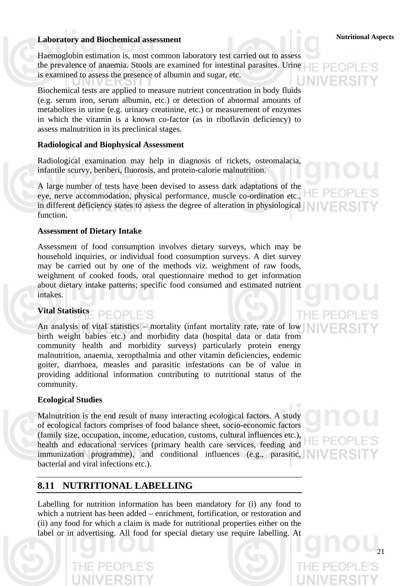# **Laboratory and Biochemical assessment Laboratory and Biochemical assessment Laboratory and Biochemical assessment**

Haemoglobin estimation is, most common laboratory test carried out to assess the prevalence of anaemia. Stools are examined for intestinal parasites. Urine is examined to assess the presence of albumin and sugar, etc.

Biochemical tests are applied to measure nutrient concentration in body fluids (e.g. serum iron, serum albumin, etc.) or detection of abnormal amounts of metabolites in urine (e.g. urinary creatinine, etc.) or measurement of enzymes in which the vitamin is a known co-factor (as in riboflavin deficiency) to assess malnutrition in its preclinical stages.

## **Radiological and Biophysical Assessment**

Radiological examination may help in diagnosis of rickets, osteomalacia, infantile scurvy, beriberi, fluorosis, and protein-calorie malnutrition.

A large number of tests have been devised to assess dark adaptations of the eye, nerve accommodation, physical performance, muscle co-ordination etc., in different deficiency states to assess the degree of alteration in physiological function.

## **Assessment of Dietary Intake**

Assessment of food consumption involves dietary surveys, which may be household inquiries, or individual food consumption surveys. A diet survey may be carried out by one of the methods viz. weighment of raw foods, weighment of cooked foods, oral questionnaire method to get information about dietary intake patterns; specific food consumed and estimated nutrient intakes.

## **Vital Statistics**  PFOPLE'S

An analysis of vital statistics – mortality (infant mortality rate, rate of low birth weight babies etc.) and morbidity data (hospital data or data from community health and morbidity surveys) particularly protein energy malnutrition, anaemia, xeropthalmia and other vitamin deficiencies, endemic goiter, diarrhoea, measles and parasitic infestations can be of value in providing additional information contributing to nutritional status of the community.

## **Ecological Studies**

Malnutrition is the end result of many interacting ecological factors. A study of ecological factors comprises of food balance sheet, socio-economic factors (family size, occupation, income, education, customs, cultural influences etc.), health and educational services (primary health care services, feeding and immunization programme), and conditional influences (e.g., parasitic, bacterial and viral infections etc.).

# **8.11 NUTRITIONAL LABELLING**

Labelling for nutrition information has been mandatory for (i) any food to which a nutrient has been added – enrichment, fortification, or restoration and (ii) any food for which a claim is made for nutritional properties either on the label or in advertising. All food for special dietary use require labelling. At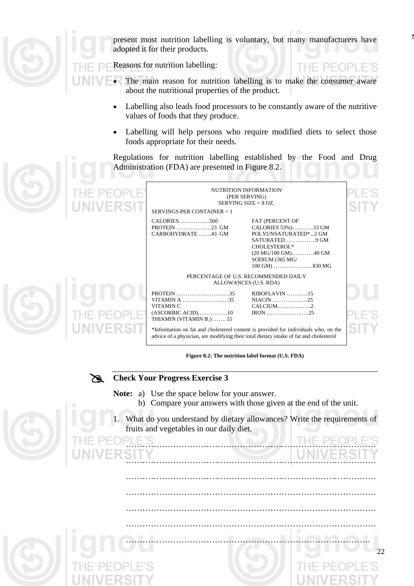

present most nutrition labelling is voluntary, but many manufacturers have adopted it for their products.

Reasons for nutrition labelling:

- The main reason for nutrition labelling is to make the consumer aware about the nutritional properties of the product.
	- Labelling also leads food processors to be constantly aware of the nutritive values of foods that they produce.
	- Labelling will help persons who require modified diets to select those foods appropriate for their needs.

Regulations for nutrition labelling established by the Food and Drug Administration (FDA) are presented in Figure 8.2.

| NUTRITION INFORMATION<br>(PER SERVING)<br>SERVING SIZE $= 8$ OZ.<br>SERVINGS PER CONTAINER = 1                                                                                |                                                                                                                            |  |
|-------------------------------------------------------------------------------------------------------------------------------------------------------------------------------|----------------------------------------------------------------------------------------------------------------------------|--|
| FAT (PERCENT OF<br>CARBOHYDRATE43 GM<br>CHOLESTEROL*<br>SODIUM (365 MG/                                                                                                       | CALORIES 53%)33 GM<br>POLYUNSATURATED*2 GM<br>SATURATED 9 GM<br>$(20 \text{ MG}/100 \text{ GM})$ 40 GM<br>$100$ GM) 830 MG |  |
| PERCENTAGE OF U.S. RECOMMENDED DAILY                                                                                                                                          |                                                                                                                            |  |
| ALLOWANCES (U.S. RDA)<br>PROTEIN 35<br>$RIBOFLAVIN$ 15<br>VITAMINA 35<br>VITAMIN C<br>THIAMIN (VITAMIN $B_1$ )  15                                                            |                                                                                                                            |  |
| *Information on fat and cholesterol content is provided for individuals who, on the<br>advice of a physician, are modifying their total dietary intake of fat and cholesterol |                                                                                                                            |  |

**Figure 8.2: The nutrition label format (U.S. FDA)**

**EXERCITE CHECK Your Progress Exercise 3** 

**Note:** a) Use the space below for your answer.

- b) Compare your answers with those given at the end of the unit.
- 1. What do you understand by dietary allowances? Write the requirements of fruits and vegetables in our daily diet.

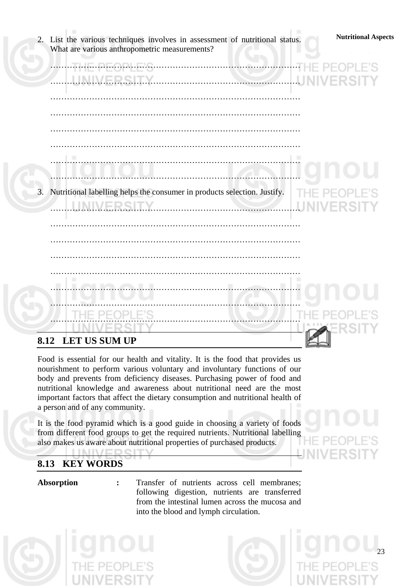| <b>Nutritional Aspects</b><br>2. List the various techniques involves in assessment of nutritional status.<br>What are various anthropometric measurements? |
|-------------------------------------------------------------------------------------------------------------------------------------------------------------|
| JULIE DE ABLEIG.<br>AHRSHIR                                                                                                                                 |
|                                                                                                                                                             |
| -10<br>u                                                                                                                                                    |
| 3. Nutritional labelling helps the consumer in products selection. Justify.<br>N.M.E.R.S.IT.Y.                                                              |
|                                                                                                                                                             |
| <b>IN ALL</b>                                                                                                                                               |
| .                                                                                                                                                           |
| 8.12 LET US SUM UP                                                                                                                                          |

Food is essential for our health and vitality. It is the food that provides us nourishment to perform various voluntary and involuntary functions of our body and prevents from deficiency diseases. Purchasing power of food and nutritional knowledge and awareness about nutritional need are the most important factors that affect the dietary consumption and nutritional health of a person and of any community.

It is the food pyramid which is a good guide in choosing a variety of foods from different food groups to get the required nutrients. Nutritional labelling also makes us aware about nutritional properties of purchased products. **LIMIN/E**  $-17$ 

# **8.13 KEY WORDS**

**Absorption :** Transfer of nutrients across cell membranes; following digestion, nutrients are transferred from the intestinal lumen across the mucosa and into the blood and lymph circulation.



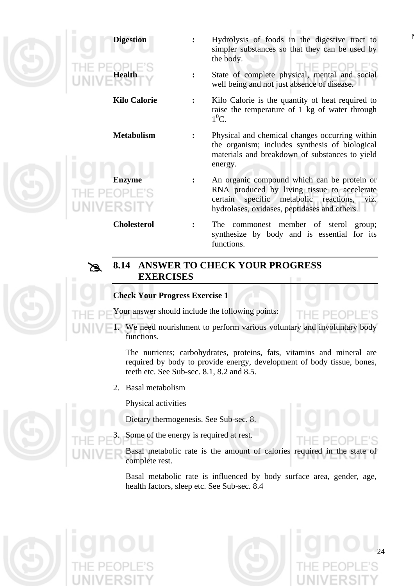

- **Digestion** : Hydrolysis of foods in the digestive tract to simpler substances so that they can be used by the body.
	- **Health :** State of complete physical, mental and social well being and not just absence of disease.
- **Kilo Calorie :** Kilo Calorie is the quantity of heat required to raise the temperature of 1 kg of water through  $1^0C$ .
- **Metabolism :** Physical and chemical changes occurring within the organism; includes synthesis of biological materials and breakdown of substances to yield energy.
	- **EXECUTE:** An organic compound which can be protein or RNA produced by living tissue to accelerate certain specific metabolic reactions, viz. hydrolases, oxidases, peptidases and others.
- **Cholesterol :** The commonest member of sterol group; synthesize by body and is essential for its functions.

# # **8.14 ANSWER TO CHECK YOUR PROGRESS EXERCISES**

# **Check Your Progress Exercise 1**

Your answer should include the following points:

1. We need nourishment to perform various voluntary and involuntary body functions.

The nutrients; carbohydrates, proteins, fats, vitamins and mineral are required by body to provide energy, development of body tissue, bones, teeth etc. See Sub-sec. 8.1, 8.2 and 8.5.

2. Basal metabolism

Physical activities

Dietary thermogenesis. See Sub-sec. 8.

Some of the energy is required at rest.

Basal metabolic rate is the amount of calories required in the state complete rest.

Basal metabolic rate is influenced by body surface area, gender, age, health factors, sleep etc. See Sub-sec. 8.4